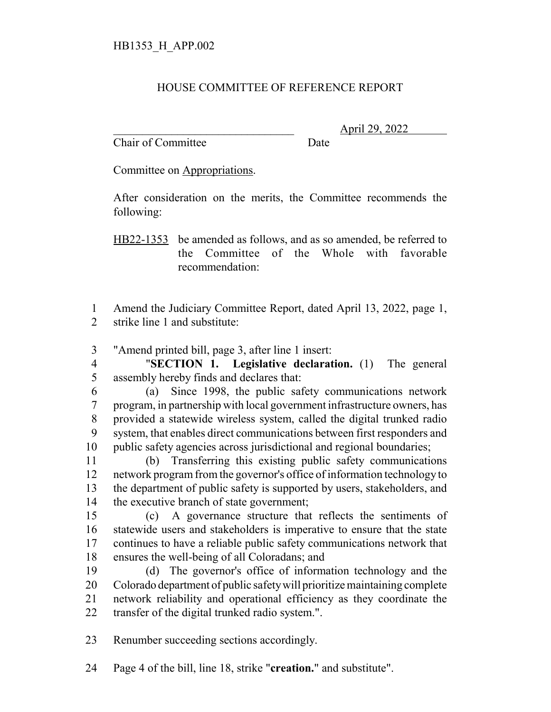## HOUSE COMMITTEE OF REFERENCE REPORT

Chair of Committee Date

\_\_\_\_\_\_\_\_\_\_\_\_\_\_\_\_\_\_\_\_\_\_\_\_\_\_\_\_\_\_\_ April 29, 2022

Committee on Appropriations.

After consideration on the merits, the Committee recommends the following:

HB22-1353 be amended as follows, and as so amended, be referred to the Committee of the Whole with favorable recommendation:

 Amend the Judiciary Committee Report, dated April 13, 2022, page 1, strike line 1 and substitute:

"Amend printed bill, page 3, after line 1 insert:

 "**SECTION 1. Legislative declaration.** (1) The general assembly hereby finds and declares that:

 (a) Since 1998, the public safety communications network program, in partnership with local government infrastructure owners, has provided a statewide wireless system, called the digital trunked radio system, that enables direct communications between first responders and public safety agencies across jurisdictional and regional boundaries;

 (b) Transferring this existing public safety communications network program from the governor's office of information technology to the department of public safety is supported by users, stakeholders, and the executive branch of state government;

 (c) A governance structure that reflects the sentiments of statewide users and stakeholders is imperative to ensure that the state continues to have a reliable public safety communications network that ensures the well-being of all Coloradans; and

 (d) The governor's office of information technology and the Colorado department of public safety will prioritize maintaining complete network reliability and operational efficiency as they coordinate the transfer of the digital trunked radio system.".

Renumber succeeding sections accordingly.

Page 4 of the bill, line 18, strike "**creation.**" and substitute".